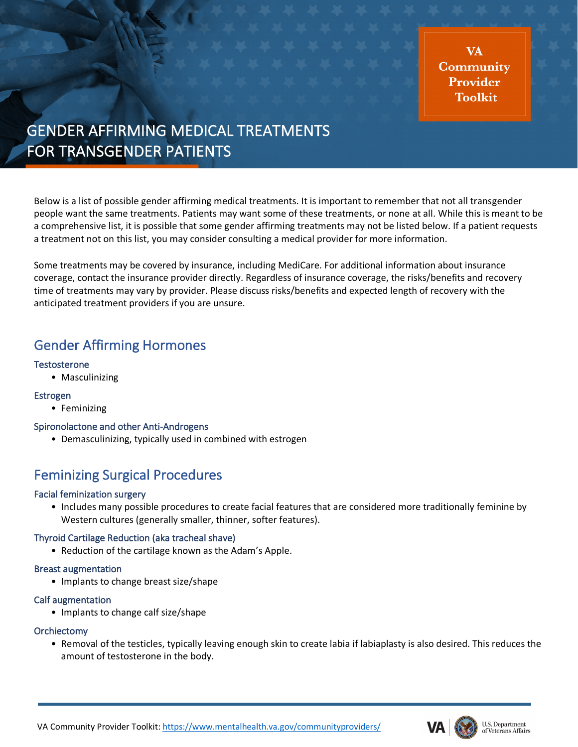**VA** Community Provider **Toolkit** 

# GENDER AFFIRMING MEDICAL TREATMENTS FOR TRANSGENDER PATIENTS

Below is a list of possible gender affirming medical treatments. It is important to remember that not all transgender people want the same treatments. Patients may want some of these treatments, or none at all. While this is meant to be a comprehensive list, it is possible that some gender affirming treatments may not be listed below. If a patient requests a treatment not on this list, you may consider consulting a medical provider for more information.

Some treatments may be covered by insurance, including MediCare. For additional information about insurance coverage, contact the insurance provider directly. Regardless of insurance coverage, the risks/benefits and recovery time of treatments may vary by provider. Please discuss risks/benefits and expected length of recovery with the anticipated treatment providers if you are unsure.

### Gender Affirming Hormones

#### **Testosterone**

• Masculinizing

#### Estrogen

• Feminizing

#### Spironolactone and other Anti-Androgens

• Demasculinizing, typically used in combined with estrogen

### Feminizing Surgical Procedures

#### Facial feminization surgery

• Includes many possible procedures to create facial features that are considered more traditionally feminine by Western cultures (generally smaller, thinner, softer features).

#### Thyroid Cartilage Reduction (aka tracheal shave)

• Reduction of the cartilage known as the Adam's Apple.

#### Breast augmentation

• Implants to change breast size/shape

#### Calf augmentation

• Implants to change calf size/shape

#### **Orchiectomy**

• Removal of the testicles, typically leaving enough skin to create labia if labiaplasty is also desired. This reduces the amount of testosterone in the body.